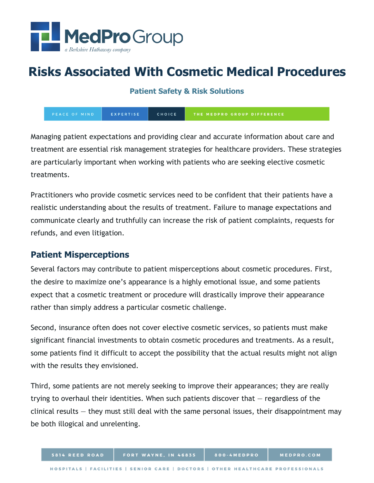

# **Risks Associated With Cosmetic Medical Procedures**

**Patient Safety & Risk Solutions**

EXPERTISE CHOICE THE MEDPRO GROUP DIFFERENCE

Managing patient expectations and providing clear and accurate information about care and treatment are essential risk management strategies for healthcare providers. These strategies are particularly important when working with patients who are seeking elective cosmetic treatments.

Practitioners who provide cosmetic services need to be confident that their patients have a realistic understanding about the results of treatment. Failure to manage expectations and communicate clearly and truthfully can increase the risk of patient complaints, requests for refunds, and even litigation.

## **Patient Misperceptions**

Several factors may contribute to patient misperceptions about cosmetic procedures. First, the desire to maximize one's appearance is a highly emotional issue, and some patients expect that a cosmetic treatment or procedure will drastically improve their appearance rather than simply address a particular cosmetic challenge.

Second, insurance often does not cover elective cosmetic services, so patients must make significant financial investments to obtain cosmetic procedures and treatments. As a result, some patients find it difficult to accept the possibility that the actual results might not align with the results they envisioned.

Third, some patients are not merely seeking to improve their appearances; they are really trying to overhaul their identities. When such patients discover that — regardless of the clinical results — they must still deal with the same personal issues, their disappointment may be both illogical and unrelenting.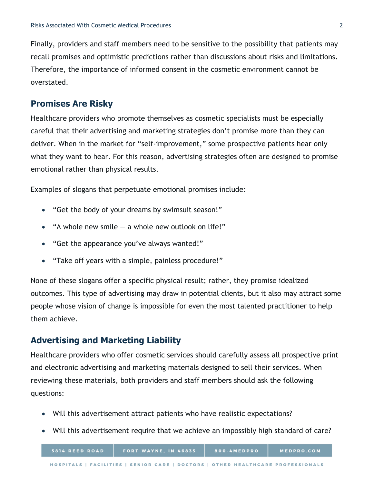Finally, providers and staff members need to be sensitive to the possibility that patients may recall promises and optimistic predictions rather than discussions about risks and limitations. Therefore, the importance of informed consent in the cosmetic environment cannot be overstated.

### **Promises Are Risky**

Healthcare providers who promote themselves as cosmetic specialists must be especially careful that their advertising and marketing strategies don't promise more than they can deliver. When in the market for "self-improvement," some prospective patients hear only what they want to hear. For this reason, advertising strategies often are designed to promise emotional rather than physical results.

Examples of slogans that perpetuate emotional promises include:

- "Get the body of your dreams by swimsuit season!"
- "A whole new smile  $-$  a whole new outlook on life!"
- "Get the appearance you've always wanted!"
- "Take off years with a simple, painless procedure!"

None of these slogans offer a specific physical result; rather, they promise idealized outcomes. This type of advertising may draw in potential clients, but it also may attract some people whose vision of change is impossible for even the most talented practitioner to help them achieve.

## **Advertising and Marketing Liability**

Healthcare providers who offer cosmetic services should carefully assess all prospective print and electronic advertising and marketing materials designed to sell their services. When reviewing these materials, both providers and staff members should ask the following questions:

- Will this advertisement attract patients who have realistic expectations?
- Will this advertisement require that we achieve an impossibly high standard of care?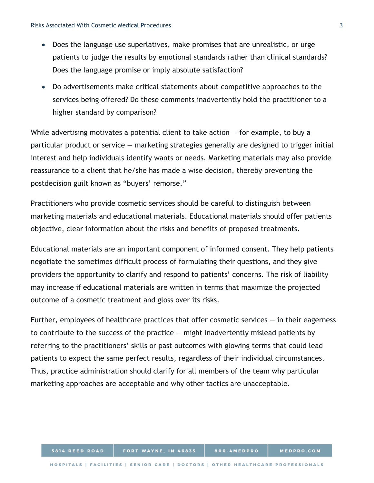- Does the language use superlatives, make promises that are unrealistic, or urge patients to judge the results by emotional standards rather than clinical standards? Does the language promise or imply absolute satisfaction?
- Do advertisements make critical statements about competitive approaches to the services being offered? Do these comments inadvertently hold the practitioner to a higher standard by comparison?

While advertising motivates a potential client to take action  $-$  for example, to buy a particular product or service — marketing strategies generally are designed to trigger initial interest and help individuals identify wants or needs. Marketing materials may also provide reassurance to a client that he/she has made a wise decision, thereby preventing the postdecision guilt known as "buyers' remorse."

Practitioners who provide cosmetic services should be careful to distinguish between marketing materials and educational materials. Educational materials should offer patients objective, clear information about the risks and benefits of proposed treatments.

Educational materials are an important component of informed consent. They help patients negotiate the sometimes difficult process of formulating their questions, and they give providers the opportunity to clarify and respond to patients' concerns. The risk of liability may increase if educational materials are written in terms that maximize the projected outcome of a cosmetic treatment and gloss over its risks.

Further, employees of healthcare practices that offer cosmetic services  $-$  in their eagerness to contribute to the success of the practice — might inadvertently mislead patients by referring to the practitioners' skills or past outcomes with glowing terms that could lead patients to expect the same perfect results, regardless of their individual circumstances. Thus, practice administration should clarify for all members of the team why particular marketing approaches are acceptable and why other tactics are unacceptable.